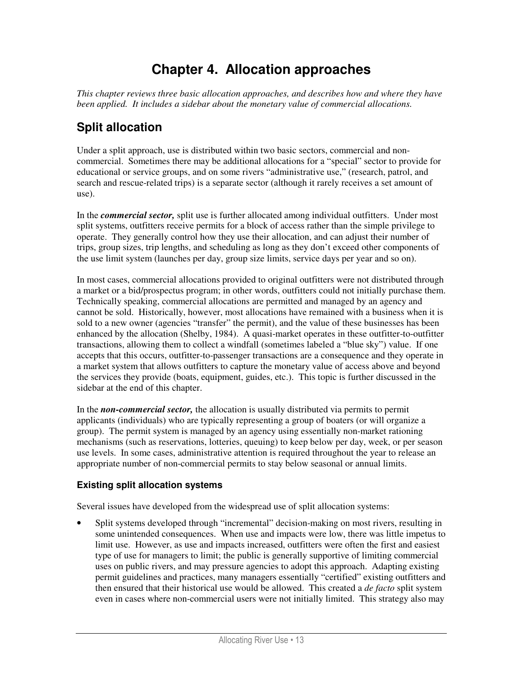# **Chapter 4. Allocation approaches**

*This chapter reviews three basic allocation approaches, and describes how and where they have been applied. It includes a sidebar about the monetary value of commercial allocations.* 

# **Split allocation**

Under a split approach, use is distributed within two basic sectors, commercial and noncommercial. Sometimes there may be additional allocations for a "special" sector to provide for educational or service groups, and on some rivers "administrative use," (research, patrol, and search and rescue-related trips) is a separate sector (although it rarely receives a set amount of use).

In the *commercial sector,* split use is further allocated among individual outfitters. Under most split systems, outfitters receive permits for a block of access rather than the simple privilege to operate. They generally control how they use their allocation, and can adjust their number of trips, group sizes, trip lengths, and scheduling as long as they don't exceed other components of the use limit system (launches per day, group size limits, service days per year and so on).

In most cases, commercial allocations provided to original outfitters were not distributed through a market or a bid/prospectus program; in other words, outfitters could not initially purchase them. Technically speaking, commercial allocations are permitted and managed by an agency and cannot be sold. Historically, however, most allocations have remained with a business when it is sold to a new owner (agencies "transfer" the permit), and the value of these businesses has been enhanced by the allocation (Shelby, 1984). A quasi-market operates in these outfitter-to-outfitter transactions, allowing them to collect a windfall (sometimes labeled a "blue sky") value. If one accepts that this occurs, outfitter-to-passenger transactions are a consequence and they operate in a market system that allows outfitters to capture the monetary value of access above and beyond the services they provide (boats, equipment, guides, etc.). This topic is further discussed in the sidebar at the end of this chapter.

In the *non-commercial sector,* the allocation is usually distributed via permits to permit applicants (individuals) who are typically representing a group of boaters (or will organize a group). The permit system is managed by an agency using essentially non-market rationing mechanisms (such as reservations, lotteries, queuing) to keep below per day, week, or per season use levels. In some cases, administrative attention is required throughout the year to release an appropriate number of non-commercial permits to stay below seasonal or annual limits.

## **Existing split allocation systems**

Several issues have developed from the widespread use of split allocation systems:

• Split systems developed through "incremental" decision-making on most rivers, resulting in some unintended consequences. When use and impacts were low, there was little impetus to limit use. However, as use and impacts increased, outfitters were often the first and easiest type of use for managers to limit; the public is generally supportive of limiting commercial uses on public rivers, and may pressure agencies to adopt this approach. Adapting existing permit guidelines and practices, many managers essentially "certified" existing outfitters and then ensured that their historical use would be allowed. This created a *de facto* split system even in cases where non-commercial users were not initially limited. This strategy also may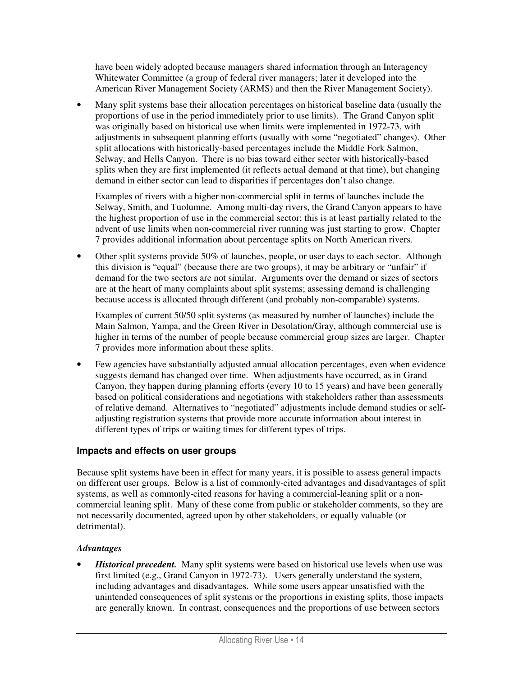have been widely adopted because managers shared information through an Interagency Whitewater Committee (a group of federal river managers; later it developed into the American River Management Society (ARMS) and then the River Management Society).

• Many split systems base their allocation percentages on historical baseline data (usually the proportions of use in the period immediately prior to use limits). The Grand Canyon split was originally based on historical use when limits were implemented in 1972-73, with adjustments in subsequent planning efforts (usually with some "negotiated" changes). Other split allocations with historically-based percentages include the Middle Fork Salmon, Selway, and Hells Canyon. There is no bias toward either sector with historically-based splits when they are first implemented (it reflects actual demand at that time), but changing demand in either sector can lead to disparities if percentages don't also change.

Examples of rivers with a higher non-commercial split in terms of launches include the Selway, Smith, and Tuolumne. Among multi-day rivers, the Grand Canyon appears to have the highest proportion of use in the commercial sector; this is at least partially related to the advent of use limits when non-commercial river running was just starting to grow. Chapter 7 provides additional information about percentage splits on North American rivers.

• Other split systems provide 50% of launches, people, or user days to each sector. Although this division is "equal" (because there are two groups), it may be arbitrary or "unfair" if demand for the two sectors are not similar. Arguments over the demand or sizes of sectors are at the heart of many complaints about split systems; assessing demand is challenging because access is allocated through different (and probably non-comparable) systems.

Examples of current 50/50 split systems (as measured by number of launches) include the Main Salmon, Yampa, and the Green River in Desolation/Gray, although commercial use is higher in terms of the number of people because commercial group sizes are larger. Chapter 7 provides more information about these splits.

• Few agencies have substantially adjusted annual allocation percentages, even when evidence suggests demand has changed over time. When adjustments have occurred, as in Grand Canyon, they happen during planning efforts (every 10 to 15 years) and have been generally based on political considerations and negotiations with stakeholders rather than assessments of relative demand. Alternatives to "negotiated" adjustments include demand studies or selfadjusting registration systems that provide more accurate information about interest in different types of trips or waiting times for different types of trips.

### **Impacts and effects on user groups**

Because split systems have been in effect for many years, it is possible to assess general impacts on different user groups. Below is a list of commonly-cited advantages and disadvantages of split systems, as well as commonly-cited reasons for having a commercial-leaning split or a noncommercial leaning split. Many of these come from public or stakeholder comments, so they are not necessarily documented, agreed upon by other stakeholders, or equally valuable (or detrimental).

#### *Advantages*

• *Historical precedent.* Many split systems were based on historical use levels when use was first limited (e.g., Grand Canyon in 1972-73). Users generally understand the system, including advantages and disadvantages. While some users appear unsatisfied with the unintended consequences of split systems or the proportions in existing splits, those impacts are generally known. In contrast, consequences and the proportions of use between sectors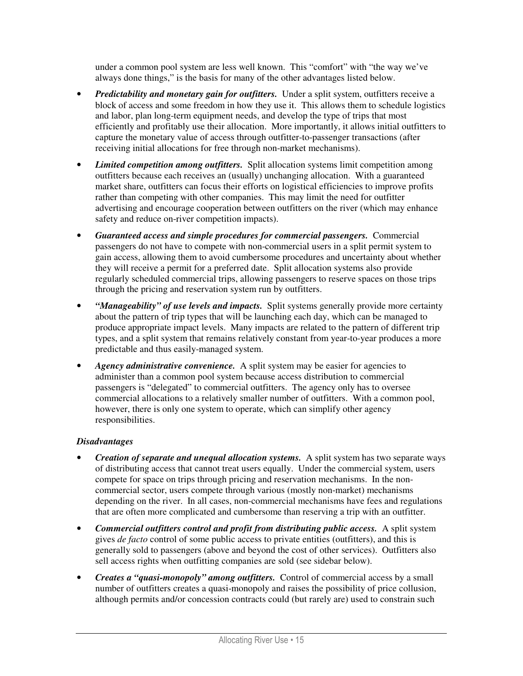under a common pool system are less well known. This "comfort" with "the way we've always done things," is the basis for many of the other advantages listed below.

- *Predictability and monetary gain for outfitters.* Under a split system, outfitters receive a block of access and some freedom in how they use it. This allows them to schedule logistics and labor, plan long-term equipment needs, and develop the type of trips that most efficiently and profitably use their allocation. More importantly, it allows initial outfitters to capture the monetary value of access through outfitter-to-passenger transactions (after receiving initial allocations for free through non-market mechanisms).
- *Limited competition among outfitters.* Split allocation systems limit competition among outfitters because each receives an (usually) unchanging allocation. With a guaranteed market share, outfitters can focus their efforts on logistical efficiencies to improve profits rather than competing with other companies. This may limit the need for outfitter advertising and encourage cooperation between outfitters on the river (which may enhance safety and reduce on-river competition impacts).
- *Guaranteed access and simple procedures for commercial passengers.* Commercial passengers do not have to compete with non-commercial users in a split permit system to gain access, allowing them to avoid cumbersome procedures and uncertainty about whether they will receive a permit for a preferred date. Split allocation systems also provide regularly scheduled commercial trips, allowing passengers to reserve spaces on those trips through the pricing and reservation system run by outfitters.
- *"Manageability" of use levels and impacts.* Split systems generally provide more certainty about the pattern of trip types that will be launching each day, which can be managed to produce appropriate impact levels. Many impacts are related to the pattern of different trip types, and a split system that remains relatively constant from year-to-year produces a more predictable and thus easily-managed system.
- *Agency administrative convenience.* A split system may be easier for agencies to administer than a common pool system because access distribution to commercial passengers is "delegated" to commercial outfitters. The agency only has to oversee commercial allocations to a relatively smaller number of outfitters. With a common pool, however, there is only one system to operate, which can simplify other agency responsibilities.

- *Creation of separate and unequal allocation systems.* A split system has two separate ways of distributing access that cannot treat users equally. Under the commercial system, users compete for space on trips through pricing and reservation mechanisms. In the noncommercial sector, users compete through various (mostly non-market) mechanisms depending on the river. In all cases, non-commercial mechanisms have fees and regulations that are often more complicated and cumbersome than reserving a trip with an outfitter.
- *Commercial outfitters control and profit from distributing public access.* A split system gives *de facto* control of some public access to private entities (outfitters), and this is generally sold to passengers (above and beyond the cost of other services). Outfitters also sell access rights when outfitting companies are sold (see sidebar below).
- *Creates a "quasi-monopoly" among outfitters.* Control of commercial access by a small number of outfitters creates a quasi-monopoly and raises the possibility of price collusion, although permits and/or concession contracts could (but rarely are) used to constrain such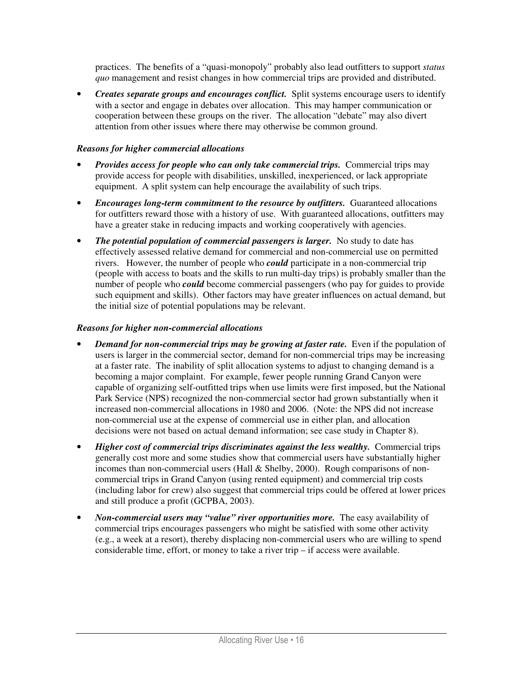practices. The benefits of a "quasi-monopoly" probably also lead outfitters to support *status quo* management and resist changes in how commercial trips are provided and distributed.

• *Creates separate groups and encourages conflict.* Split systems encourage users to identify with a sector and engage in debates over allocation. This may hamper communication or cooperation between these groups on the river. The allocation "debate" may also divert attention from other issues where there may otherwise be common ground.

#### *Reasons for higher commercial allocations*

- *Provides access for people who can only take commercial trips.* Commercial trips may provide access for people with disabilities, unskilled, inexperienced, or lack appropriate equipment. A split system can help encourage the availability of such trips.
- *Encourages long-term commitment to the resource by outfitters.* Guaranteed allocations for outfitters reward those with a history of use. With guaranteed allocations, outfitters may have a greater stake in reducing impacts and working cooperatively with agencies.
- *The potential population of commercial passengers is larger.* No study to date has effectively assessed relative demand for commercial and non-commercial use on permitted rivers. However, the number of people who *could* participate in a non-commercial trip (people with access to boats and the skills to run multi-day trips) is probably smaller than the number of people who *could* become commercial passengers (who pay for guides to provide such equipment and skills). Other factors may have greater influences on actual demand, but the initial size of potential populations may be relevant.

#### *Reasons for higher non-commercial allocations*

- *Demand for non-commercial trips may be growing at faster rate.* Even if the population of users is larger in the commercial sector, demand for non-commercial trips may be increasing at a faster rate. The inability of split allocation systems to adjust to changing demand is a becoming a major complaint. For example, fewer people running Grand Canyon were capable of organizing self-outfitted trips when use limits were first imposed, but the National Park Service (NPS) recognized the non-commercial sector had grown substantially when it increased non-commercial allocations in 1980 and 2006. (Note: the NPS did not increase non-commercial use at the expense of commercial use in either plan, and allocation decisions were not based on actual demand information; see case study in Chapter 8).
- *Higher cost of commercial trips discriminates against the less wealthy.* Commercial trips generally cost more and some studies show that commercial users have substantially higher incomes than non-commercial users (Hall & Shelby, 2000). Rough comparisons of noncommercial trips in Grand Canyon (using rented equipment) and commercial trip costs (including labor for crew) also suggest that commercial trips could be offered at lower prices and still produce a profit (GCPBA, 2003).
- *Non-commercial users may "value" river opportunities more.* The easy availability of commercial trips encourages passengers who might be satisfied with some other activity (e.g., a week at a resort), thereby displacing non-commercial users who are willing to spend considerable time, effort, or money to take a river trip – if access were available.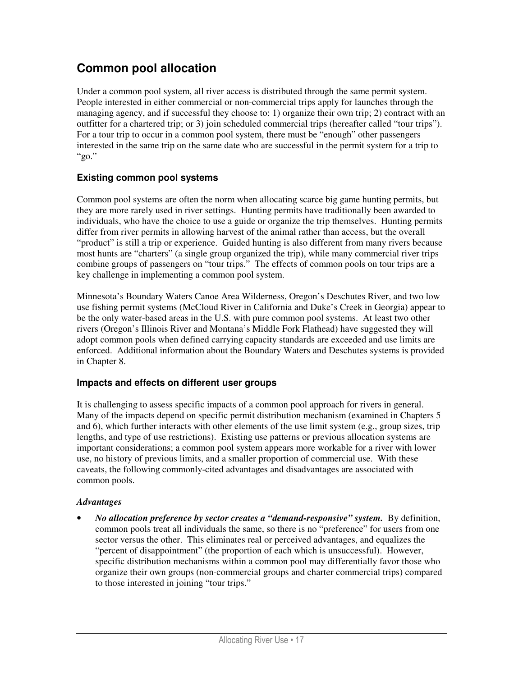## **Common pool allocation**

Under a common pool system, all river access is distributed through the same permit system. People interested in either commercial or non-commercial trips apply for launches through the managing agency, and if successful they choose to: 1) organize their own trip; 2) contract with an outfitter for a chartered trip; or 3) join scheduled commercial trips (hereafter called "tour trips"). For a tour trip to occur in a common pool system, there must be "enough" other passengers interested in the same trip on the same date who are successful in the permit system for a trip to " $\mathfrak{g}_0$ ."

## **Existing common pool systems**

Common pool systems are often the norm when allocating scarce big game hunting permits, but they are more rarely used in river settings. Hunting permits have traditionally been awarded to individuals, who have the choice to use a guide or organize the trip themselves. Hunting permits differ from river permits in allowing harvest of the animal rather than access, but the overall "product" is still a trip or experience. Guided hunting is also different from many rivers because most hunts are "charters" (a single group organized the trip), while many commercial river trips combine groups of passengers on "tour trips." The effects of common pools on tour trips are a key challenge in implementing a common pool system.

Minnesota's Boundary Waters Canoe Area Wilderness, Oregon's Deschutes River, and two low use fishing permit systems (McCloud River in California and Duke's Creek in Georgia) appear to be the only water-based areas in the U.S. with pure common pool systems. At least two other rivers (Oregon's Illinois River and Montana's Middle Fork Flathead) have suggested they will adopt common pools when defined carrying capacity standards are exceeded and use limits are enforced. Additional information about the Boundary Waters and Deschutes systems is provided in Chapter 8.

### **Impacts and effects on different user groups**

It is challenging to assess specific impacts of a common pool approach for rivers in general. Many of the impacts depend on specific permit distribution mechanism (examined in Chapters 5 and 6), which further interacts with other elements of the use limit system (e.g., group sizes, trip lengths, and type of use restrictions). Existing use patterns or previous allocation systems are important considerations; a common pool system appears more workable for a river with lower use, no history of previous limits, and a smaller proportion of commercial use. With these caveats, the following commonly-cited advantages and disadvantages are associated with common pools.

#### *Advantages*

• *No allocation preference by sector creates a "demand-responsive" system.* By definition, common pools treat all individuals the same, so there is no "preference" for users from one sector versus the other. This eliminates real or perceived advantages, and equalizes the "percent of disappointment" (the proportion of each which is unsuccessful). However, specific distribution mechanisms within a common pool may differentially favor those who organize their own groups (non-commercial groups and charter commercial trips) compared to those interested in joining "tour trips."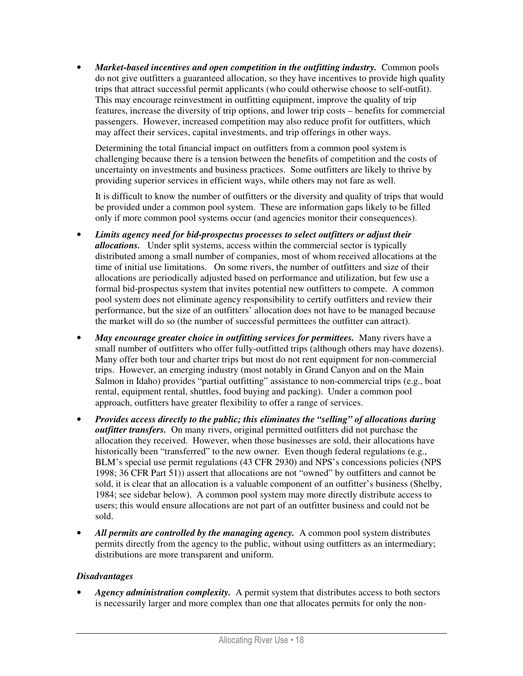• *Market-based incentives and open competition in the outfitting industry.* Common pools do not give outfitters a guaranteed allocation, so they have incentives to provide high quality trips that attract successful permit applicants (who could otherwise choose to self-outfit). This may encourage reinvestment in outfitting equipment, improve the quality of trip features, increase the diversity of trip options, and lower trip costs – benefits for commercial passengers. However, increased competition may also reduce profit for outfitters, which may affect their services, capital investments, and trip offerings in other ways.

Determining the total financial impact on outfitters from a common pool system is challenging because there is a tension between the benefits of competition and the costs of uncertainty on investments and business practices. Some outfitters are likely to thrive by providing superior services in efficient ways, while others may not fare as well.

It is difficult to know the number of outfitters or the diversity and quality of trips that would be provided under a common pool system. These are information gaps likely to be filled only if more common pool systems occur (and agencies monitor their consequences).

- *Limits agency need for bid-prospectus processes to select outfitters or adjust their allocations.* Under split systems, access within the commercial sector is typically distributed among a small number of companies, most of whom received allocations at the time of initial use limitations. On some rivers, the number of outfitters and size of their allocations are periodically adjusted based on performance and utilization, but few use a formal bid-prospectus system that invites potential new outfitters to compete. A common pool system does not eliminate agency responsibility to certify outfitters and review their performance, but the size of an outfitters' allocation does not have to be managed because the market will do so (the number of successful permittees the outfitter can attract).
- May encourage greater choice in outfitting services for permittees. Many rivers have a small number of outfitters who offer fully-outfitted trips (although others may have dozens). Many offer both tour and charter trips but most do not rent equipment for non-commercial trips. However, an emerging industry (most notably in Grand Canyon and on the Main Salmon in Idaho) provides "partial outfitting" assistance to non-commercial trips (e.g., boat rental, equipment rental, shuttles, food buying and packing). Under a common pool approach, outfitters have greater flexibility to offer a range of services.
- *Provides access directly to the public; this eliminates the "selling" of allocations during outfitter transfers.* On many rivers, original permitted outfitters did not purchase the allocation they received. However, when those businesses are sold, their allocations have historically been "transferred" to the new owner. Even though federal regulations (e.g., BLM's special use permit regulations (43 CFR 2930) and NPS's concessions policies (NPS 1998; 36 CFR Part 51)) assert that allocations are not "owned" by outfitters and cannot be sold, it is clear that an allocation is a valuable component of an outfitter's business (Shelby, 1984; see sidebar below). A common pool system may more directly distribute access to users; this would ensure allocations are not part of an outfitter business and could not be sold.
- All permits are controlled by the managing agency. A common pool system distributes permits directly from the agency to the public, without using outfitters as an intermediary; distributions are more transparent and uniform.

#### *Disadvantages*

• *Agency administration complexity.* A permit system that distributes access to both sectors is necessarily larger and more complex than one that allocates permits for only the non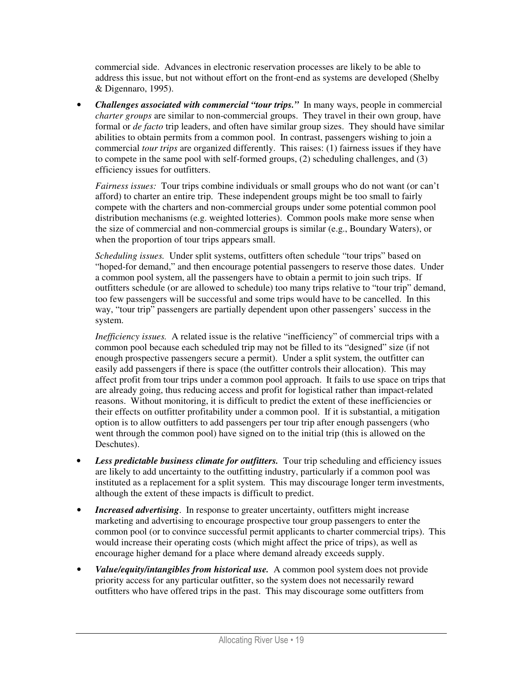commercial side. Advances in electronic reservation processes are likely to be able to address this issue, but not without effort on the front-end as systems are developed (Shelby & Digennaro, 1995).

• *Challenges associated with commercial "tour trips."* In many ways, people in commercial *charter groups* are similar to non-commercial groups. They travel in their own group, have formal or *de facto* trip leaders, and often have similar group sizes. They should have similar abilities to obtain permits from a common pool. In contrast, passengers wishing to join a commercial *tour trips* are organized differently. This raises: (1) fairness issues if they have to compete in the same pool with self-formed groups, (2) scheduling challenges, and (3) efficiency issues for outfitters.

*Fairness issues:* Tour trips combine individuals or small groups who do not want (or can't afford) to charter an entire trip. These independent groups might be too small to fairly compete with the charters and non-commercial groups under some potential common pool distribution mechanisms (e.g. weighted lotteries). Common pools make more sense when the size of commercial and non-commercial groups is similar (e.g., Boundary Waters), or when the proportion of tour trips appears small.

*Scheduling issues.* Under split systems, outfitters often schedule "tour trips" based on "hoped-for demand," and then encourage potential passengers to reserve those dates. Under a common pool system, all the passengers have to obtain a permit to join such trips. If outfitters schedule (or are allowed to schedule) too many trips relative to "tour trip" demand, too few passengers will be successful and some trips would have to be cancelled. In this way, "tour trip" passengers are partially dependent upon other passengers' success in the system.

*Inefficiency issues.* A related issue is the relative "inefficiency" of commercial trips with a common pool because each scheduled trip may not be filled to its "designed" size (if not enough prospective passengers secure a permit). Under a split system, the outfitter can easily add passengers if there is space (the outfitter controls their allocation). This may affect profit from tour trips under a common pool approach. It fails to use space on trips that are already going, thus reducing access and profit for logistical rather than impact-related reasons. Without monitoring, it is difficult to predict the extent of these inefficiencies or their effects on outfitter profitability under a common pool. If it is substantial, a mitigation option is to allow outfitters to add passengers per tour trip after enough passengers (who went through the common pool) have signed on to the initial trip (this is allowed on the Deschutes).

- Less predictable business climate for outfitters. Tour trip scheduling and efficiency issues are likely to add uncertainty to the outfitting industry, particularly if a common pool was instituted as a replacement for a split system. This may discourage longer term investments, although the extent of these impacts is difficult to predict.
- *Increased advertising*. In response to greater uncertainty, outfitters might increase marketing and advertising to encourage prospective tour group passengers to enter the common pool (or to convince successful permit applicants to charter commercial trips). This would increase their operating costs (which might affect the price of trips), as well as encourage higher demand for a place where demand already exceeds supply.
- *Value/equity/intangibles from historical use.* A common pool system does not provide priority access for any particular outfitter, so the system does not necessarily reward outfitters who have offered trips in the past. This may discourage some outfitters from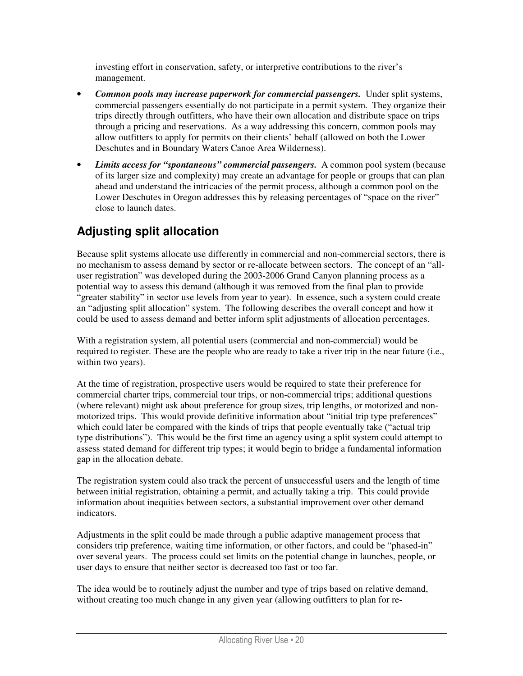investing effort in conservation, safety, or interpretive contributions to the river's management.

- *Common pools may increase paperwork for commercial passengers.* Under split systems, commercial passengers essentially do not participate in a permit system. They organize their trips directly through outfitters, who have their own allocation and distribute space on trips through a pricing and reservations. As a way addressing this concern, common pools may allow outfitters to apply for permits on their clients' behalf (allowed on both the Lower Deschutes and in Boundary Waters Canoe Area Wilderness).
- *Limits access for "spontaneous" commercial passengers.* A common pool system (because of its larger size and complexity) may create an advantage for people or groups that can plan ahead and understand the intricacies of the permit process, although a common pool on the Lower Deschutes in Oregon addresses this by releasing percentages of "space on the river" close to launch dates.

# **Adjusting split allocation**

Because split systems allocate use differently in commercial and non-commercial sectors, there is no mechanism to assess demand by sector or re-allocate between sectors. The concept of an "alluser registration" was developed during the 2003-2006 Grand Canyon planning process as a potential way to assess this demand (although it was removed from the final plan to provide "greater stability" in sector use levels from year to year). In essence, such a system could create an "adjusting split allocation" system. The following describes the overall concept and how it could be used to assess demand and better inform split adjustments of allocation percentages.

With a registration system, all potential users (commercial and non-commercial) would be required to register. These are the people who are ready to take a river trip in the near future (i.e., within two years).

At the time of registration, prospective users would be required to state their preference for commercial charter trips, commercial tour trips, or non-commercial trips; additional questions (where relevant) might ask about preference for group sizes, trip lengths, or motorized and nonmotorized trips. This would provide definitive information about "initial trip type preferences" which could later be compared with the kinds of trips that people eventually take ("actual trip type distributions"). This would be the first time an agency using a split system could attempt to assess stated demand for different trip types; it would begin to bridge a fundamental information gap in the allocation debate.

The registration system could also track the percent of unsuccessful users and the length of time between initial registration, obtaining a permit, and actually taking a trip. This could provide information about inequities between sectors, a substantial improvement over other demand indicators.

Adjustments in the split could be made through a public adaptive management process that considers trip preference, waiting time information, or other factors, and could be "phased-in" over several years. The process could set limits on the potential change in launches, people, or user days to ensure that neither sector is decreased too fast or too far.

The idea would be to routinely adjust the number and type of trips based on relative demand, without creating too much change in any given year (allowing outfitters to plan for re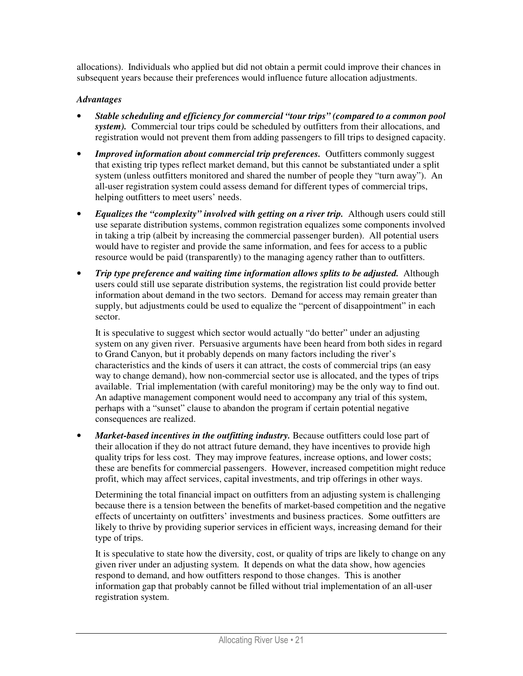allocations). Individuals who applied but did not obtain a permit could improve their chances in subsequent years because their preferences would influence future allocation adjustments.

#### *Advantages*

- *Stable scheduling and efficiency for commercial "tour trips" (compared to a common pool system).* Commercial tour trips could be scheduled by outfitters from their allocations, and registration would not prevent them from adding passengers to fill trips to designed capacity.
- *Improved information about commercial trip preferences.* Outfitters commonly suggest that existing trip types reflect market demand, but this cannot be substantiated under a split system (unless outfitters monitored and shared the number of people they "turn away"). An all-user registration system could assess demand for different types of commercial trips, helping outfitters to meet users' needs.
- *Equalizes the "complexity" involved with getting on a river trip.* Although users could still use separate distribution systems, common registration equalizes some components involved in taking a trip (albeit by increasing the commercial passenger burden). All potential users would have to register and provide the same information, and fees for access to a public resource would be paid (transparently) to the managing agency rather than to outfitters.
- *Trip type preference and waiting time information allows splits to be adjusted.* Although users could still use separate distribution systems, the registration list could provide better information about demand in the two sectors. Demand for access may remain greater than supply, but adjustments could be used to equalize the "percent of disappointment" in each sector.

It is speculative to suggest which sector would actually "do better" under an adjusting system on any given river. Persuasive arguments have been heard from both sides in regard to Grand Canyon, but it probably depends on many factors including the river's characteristics and the kinds of users it can attract, the costs of commercial trips (an easy way to change demand), how non-commercial sector use is allocated, and the types of trips available. Trial implementation (with careful monitoring) may be the only way to find out. An adaptive management component would need to accompany any trial of this system, perhaps with a "sunset" clause to abandon the program if certain potential negative consequences are realized.

• *Market-based incentives in the outfitting industry*. Because outfitters could lose part of their allocation if they do not attract future demand, they have incentives to provide high quality trips for less cost. They may improve features, increase options, and lower costs; these are benefits for commercial passengers. However, increased competition might reduce profit, which may affect services, capital investments, and trip offerings in other ways.

Determining the total financial impact on outfitters from an adjusting system is challenging because there is a tension between the benefits of market-based competition and the negative effects of uncertainty on outfitters' investments and business practices. Some outfitters are likely to thrive by providing superior services in efficient ways, increasing demand for their type of trips.

It is speculative to state how the diversity, cost, or quality of trips are likely to change on any given river under an adjusting system. It depends on what the data show, how agencies respond to demand, and how outfitters respond to those changes. This is another information gap that probably cannot be filled without trial implementation of an all-user registration system.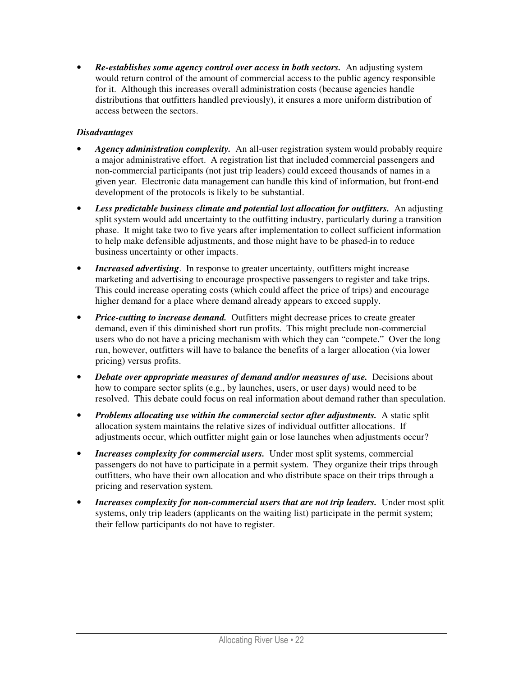• *Re-establishes some agency control over access in both sectors.* An adjusting system would return control of the amount of commercial access to the public agency responsible for it. Although this increases overall administration costs (because agencies handle distributions that outfitters handled previously), it ensures a more uniform distribution of access between the sectors.

- *Agency administration complexity.* An all-user registration system would probably require a major administrative effort. A registration list that included commercial passengers and non-commercial participants (not just trip leaders) could exceed thousands of names in a given year. Electronic data management can handle this kind of information, but front-end development of the protocols is likely to be substantial.
- *Less predictable business climate and potential lost allocation for outfitters.* An adjusting split system would add uncertainty to the outfitting industry, particularly during a transition phase. It might take two to five years after implementation to collect sufficient information to help make defensible adjustments, and those might have to be phased-in to reduce business uncertainty or other impacts.
- *Increased advertising*. In response to greater uncertainty, outfitters might increase marketing and advertising to encourage prospective passengers to register and take trips. This could increase operating costs (which could affect the price of trips) and encourage higher demand for a place where demand already appears to exceed supply.
- *Price-cutting to increase demand.* Outfitters might decrease prices to create greater demand, even if this diminished short run profits. This might preclude non-commercial users who do not have a pricing mechanism with which they can "compete." Over the long run, however, outfitters will have to balance the benefits of a larger allocation (via lower pricing) versus profits.
- *Debate over appropriate measures of demand and/or measures of use.* Decisions about how to compare sector splits (e.g., by launches, users, or user days) would need to be resolved. This debate could focus on real information about demand rather than speculation.
- *Problems allocating use within the commercial sector after adjustments.* A static split allocation system maintains the relative sizes of individual outfitter allocations. If adjustments occur, which outfitter might gain or lose launches when adjustments occur?
- *Increases complexity for commercial users.* Under most split systems, commercial passengers do not have to participate in a permit system. They organize their trips through outfitters, who have their own allocation and who distribute space on their trips through a pricing and reservation system.
- *Increases complexity for non-commercial users that are not trip leaders.* Under most split systems, only trip leaders (applicants on the waiting list) participate in the permit system; their fellow participants do not have to register.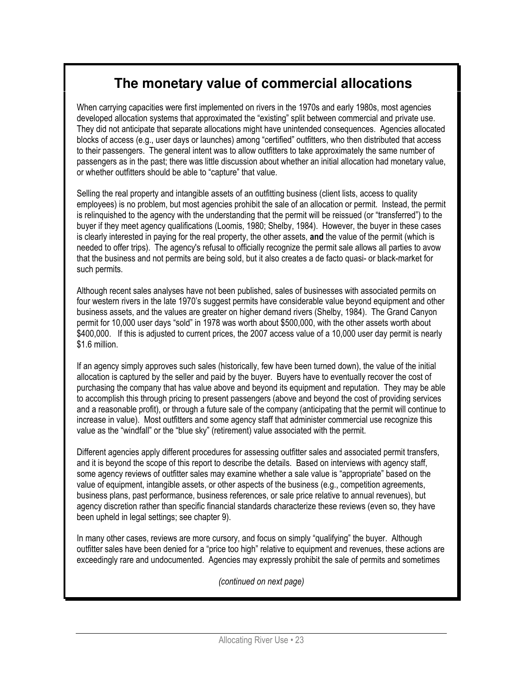# **The monetary value of commercial allocations**

When carrying capacities were first implemented on rivers in the 1970s and early 1980s, most agencies developed allocation systems that approximated the "existing" split between commercial and private use. They did not anticipate that separate allocations might have unintended consequences. Agencies allocated blocks of access (e.g., user days or launches) among "certified" outfitters, who then distributed that access to their passengers. The general intent was to allow outfitters to take approximately the same number of passengers as in the past; there was little discussion about whether an initial allocation had monetary value, or whether outfitters should be able to "capture" that value.

Selling the real property and intangible assets of an outfitting business (client lists, access to quality employees) is no problem, but most agencies prohibit the sale of an allocation or permit. Instead, the permit is relinquished to the agency with the understanding that the permit will be reissued (or "transferred") to the buyer if they meet agency qualifications (Loomis, 1980; Shelby, 1984). However, the buyer in these cases is clearly interested in paying for the real property, the other assets, and the value of the permit (which is needed to offer trips). The agency's refusal to officially recognize the permit sale allows all parties to avow that the business and not permits are being sold, but it also creates a de facto quasi- or black-market for such permits.

Although recent sales analyses have not been published, sales of businesses with associated permits on four western rivers in the late 1970's suggest permits have considerable value bevond equipment and other business assets, and the values are greater on higher demand rivers (Shelby, 1984). The Grand Canyon permit for 10,000 user days "sold" in 1978 was worth about \$500,000, with the other assets worth about \$400,000. If this is adjusted to current prices, the 2007 access value of a 10,000 user day permit is nearly \$1.6 million.

If an agency simply approves such sales (historically, few have been turned down), the value of the initial allocation is captured by the seller and paid by the buyer. Buyers have to eventually recover the cost of purchasing the company that has value above and beyond its equipment and reputation. They may be able to accomplish this through pricing to present passengers (above and beyond the cost of providing services and a reasonable profit), or through a future sale of the company (anticipating that the permit will continue to increase in value). Most outfitters and some agency staff that administer commercial use recognize this value as the "windfall" or the "blue sky" (retirement) value associated with the permit.

Different agencies apply different procedures for assessing outfitter sales and associated permit transfers, and it is beyond the scope of this report to describe the details. Based on interviews with agency staff, some agency reviews of outfitter sales may examine whether a sale value is "appropriate" based on the value of equipment, intangible assets, or other aspects of the business (e.g., competition agreements, business plans, past performance, business references, or sale price relative to annual revenues), but agency discretion rather than specific financial standards characterize these reviews (even so, they have been upheld in legal settings; see chapter 9).

In many other cases, reviews are more cursory, and focus on simply "qualifying" the buyer. Although outfitter sales have been denied for a "price too high" relative to equipment and revenues, these actions are exceedingly rare and undocumented. Agencies may expressly prohibit the sale of permits and sometimes

(continued on next page)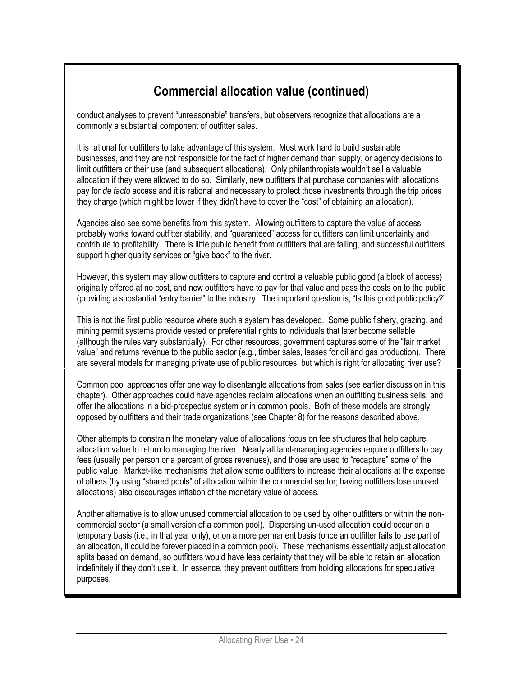# Commercial allocation value (continued)

conduct analyses to prevent "unreasonable" transfers, but observers recognize that allocations are a commonly a substantial component of outfitter sales.

It is rational for outfitters to take advantage of this system. Most work hard to build sustainable businesses, and they are not responsible for the fact of higher demand than supply, or agency decisions to limit outfitters or their use (and subsequent allocations). Only philanthropists wouldn't sell a valuable allocation if they were allowed to do so. Similarly, new outfitters that purchase companies with allocations pay for de facto access and it is rational and necessary to protect those investments through the trip prices they charge (which might be lower if they didn't have to cover the "cost" of obtaining an allocation).

Agencies also see some benefits from this system. Allowing outfitters to capture the value of access probably works toward outfitter stability, and "guaranteed" access for outfitters can limit uncertainty and contribute to profitability. There is little public benefit from outfitters that are failing, and successful outfitters support higher quality services or "give back" to the river.

However, this system may allow outfitters to capture and control a valuable public good (a block of access) originally offered at no cost, and new outfitters have to pay for that value and pass the costs on to the public (providing a substantial "entry barrier" to the industry. The important question is, "Is this good public policy?"

This is not the first public resource where such a system has developed. Some public fishery, grazing, and mining permit systems provide vested or preferential rights to individuals that later become sellable (although the rules vary substantially). For other resources, government captures some of the "fair market value" and returns revenue to the public sector (e.g., timber sales, leases for oil and gas production). There are several models for managing private use of public resources, but which is right for allocating river use?

Common pool approaches offer one way to disentangle allocations from sales (see earlier discussion in this chapter). Other approaches could have agencies reclaim allocations when an outfitting business sells, and offer the allocations in a bid-prospectus system or in common pools. Both of these models are strongly opposed by outfitters and their trade organizations (see Chapter 8) for the reasons described above.

Other attempts to constrain the monetary value of allocations focus on fee structures that help capture allocation value to return to managing the river. Nearly all land-managing agencies require outfitters to pay fees (usually per person or a percent of gross revenues), and those are used to "recapture" some of the public value. Market-like mechanisms that allow some outfitters to increase their allocations at the expense of others (by using "shared pools" of allocation within the commercial sector; having outfitters lose unused allocations) also discourages inflation of the monetary value of access.

Another alternative is to allow unused commercial allocation to be used by other outfitters or within the noncommercial sector (a small version of a common pool). Dispersing un-used allocation could occur on a temporary basis (i.e., in that year only), or on a more permanent basis (once an outfitter fails to use part of an allocation, it could be forever placed in a common pool). These mechanisms essentially adjust allocation splits based on demand, so outfitters would have less certainty that they will be able to retain an allocation indefinitely if they don't use it. In essence, they prevent outfitters from holding allocations for speculative purposes.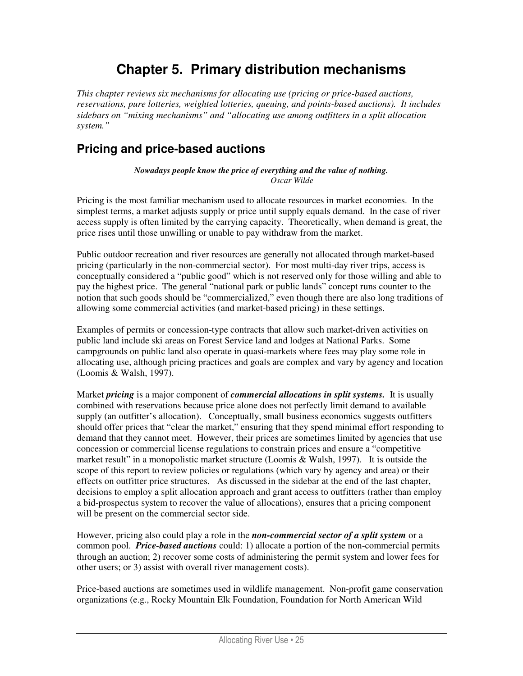# **Chapter 5. Primary distribution mechanisms**

*This chapter reviews six mechanisms for allocating use (pricing or price-based auctions, reservations, pure lotteries, weighted lotteries, queuing, and points-based auctions). It includes sidebars on "mixing mechanisms" and "allocating use among outfitters in a split allocation system."* 

# **Pricing and price-based auctions**

*Nowadays people know the price of everything and the value of nothing. Oscar Wilde* 

Pricing is the most familiar mechanism used to allocate resources in market economies. In the simplest terms, a market adjusts supply or price until supply equals demand. In the case of river access supply is often limited by the carrying capacity. Theoretically, when demand is great, the price rises until those unwilling or unable to pay withdraw from the market.

Public outdoor recreation and river resources are generally not allocated through market-based pricing (particularly in the non-commercial sector). For most multi-day river trips, access is conceptually considered a "public good" which is not reserved only for those willing and able to pay the highest price. The general "national park or public lands" concept runs counter to the notion that such goods should be "commercialized," even though there are also long traditions of allowing some commercial activities (and market-based pricing) in these settings.

Examples of permits or concession-type contracts that allow such market-driven activities on public land include ski areas on Forest Service land and lodges at National Parks. Some campgrounds on public land also operate in quasi-markets where fees may play some role in allocating use, although pricing practices and goals are complex and vary by agency and location (Loomis & Walsh, 1997).

Market *pricing* is a major component of *commercial allocations in split systems.* It is usually combined with reservations because price alone does not perfectly limit demand to available supply (an outfitter's allocation). Conceptually, small business economics suggests outfitters should offer prices that "clear the market," ensuring that they spend minimal effort responding to demand that they cannot meet. However, their prices are sometimes limited by agencies that use concession or commercial license regulations to constrain prices and ensure a "competitive market result" in a monopolistic market structure (Loomis & Walsh, 1997). It is outside the scope of this report to review policies or regulations (which vary by agency and area) or their effects on outfitter price structures. As discussed in the sidebar at the end of the last chapter, decisions to employ a split allocation approach and grant access to outfitters (rather than employ a bid-prospectus system to recover the value of allocations), ensures that a pricing component will be present on the commercial sector side.

However, pricing also could play a role in the *non-commercial sector of a split system* or a common pool. *Price-based auctions* could: 1) allocate a portion of the non-commercial permits through an auction; 2) recover some costs of administering the permit system and lower fees for other users; or 3) assist with overall river management costs).

Price-based auctions are sometimes used in wildlife management. Non-profit game conservation organizations (e.g., Rocky Mountain Elk Foundation, Foundation for North American Wild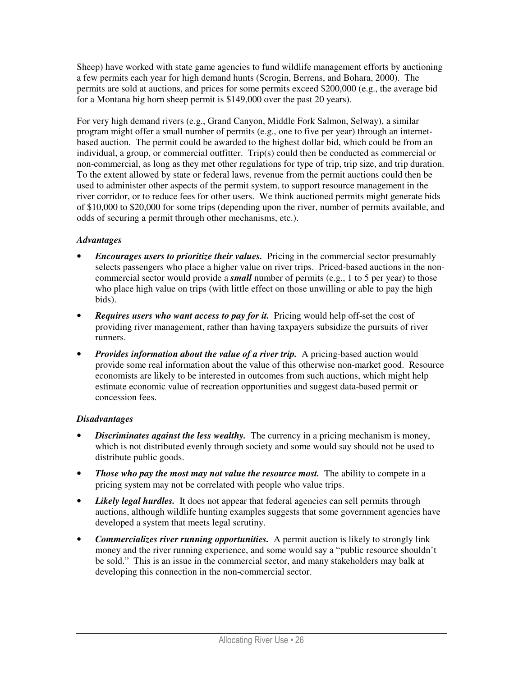Sheep) have worked with state game agencies to fund wildlife management efforts by auctioning a few permits each year for high demand hunts (Scrogin, Berrens, and Bohara, 2000). The permits are sold at auctions, and prices for some permits exceed \$200,000 (e.g., the average bid for a Montana big horn sheep permit is \$149,000 over the past 20 years).

For very high demand rivers (e.g., Grand Canyon, Middle Fork Salmon, Selway), a similar program might offer a small number of permits (e.g., one to five per year) through an internetbased auction. The permit could be awarded to the highest dollar bid, which could be from an individual, a group, or commercial outfitter. Trip(s) could then be conducted as commercial or non-commercial, as long as they met other regulations for type of trip, trip size, and trip duration. To the extent allowed by state or federal laws, revenue from the permit auctions could then be used to administer other aspects of the permit system, to support resource management in the river corridor, or to reduce fees for other users. We think auctioned permits might generate bids of \$10,000 to \$20,000 for some trips (depending upon the river, number of permits available, and odds of securing a permit through other mechanisms, etc.).

#### *Advantages*

- *Encourages users to prioritize their values.* Pricing in the commercial sector presumably selects passengers who place a higher value on river trips. Priced-based auctions in the noncommercial sector would provide a *small* number of permits (e.g., 1 to 5 per year) to those who place high value on trips (with little effect on those unwilling or able to pay the high bids).
- *Requires users who want access to pay for it.* Pricing would help off-set the cost of providing river management, rather than having taxpayers subsidize the pursuits of river runners.
- *Provides information about the value of a river trip.* A pricing-based auction would provide some real information about the value of this otherwise non-market good. Resource economists are likely to be interested in outcomes from such auctions, which might help estimate economic value of recreation opportunities and suggest data-based permit or concession fees.

- *Discriminates against the less wealthy.* The currency in a pricing mechanism is money, which is not distributed evenly through society and some would say should not be used to distribute public goods.
- *Those who pay the most may not value the resource most.* The ability to compete in a pricing system may not be correlated with people who value trips.
- *Likely legal hurdles.* It does not appear that federal agencies can sell permits through auctions, although wildlife hunting examples suggests that some government agencies have developed a system that meets legal scrutiny.
- *Commercializes river running opportunities.* A permit auction is likely to strongly link money and the river running experience, and some would say a "public resource shouldn't be sold." This is an issue in the commercial sector, and many stakeholders may balk at developing this connection in the non-commercial sector.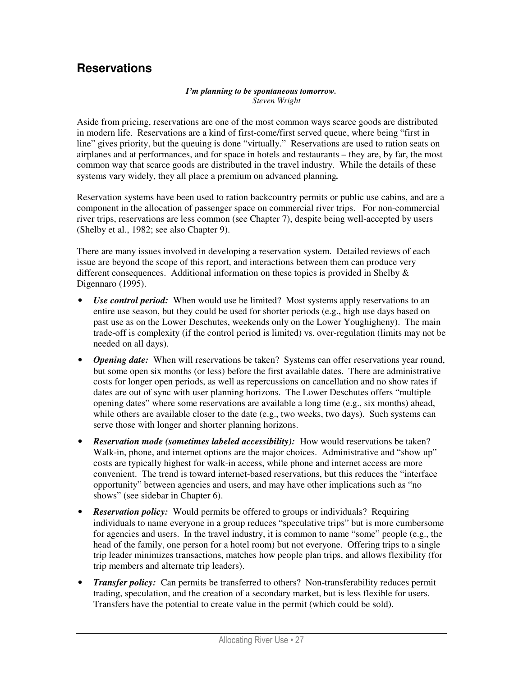## **Reservations**

#### *I'm planning to be spontaneous tomorrow. Steven Wright*

Aside from pricing, reservations are one of the most common ways scarce goods are distributed in modern life. Reservations are a kind of first-come/first served queue, where being "first in line" gives priority, but the queuing is done "virtually." Reservations are used to ration seats on airplanes and at performances, and for space in hotels and restaurants – they are, by far, the most common way that scarce goods are distributed in the travel industry. While the details of these systems vary widely, they all place a premium on advanced planning*.*

Reservation systems have been used to ration backcountry permits or public use cabins, and are a component in the allocation of passenger space on commercial river trips. For non-commercial river trips, reservations are less common (see Chapter 7), despite being well-accepted by users (Shelby et al., 1982; see also Chapter 9).

There are many issues involved in developing a reservation system. Detailed reviews of each issue are beyond the scope of this report, and interactions between them can produce very different consequences. Additional information on these topics is provided in Shelby  $\&$ Digennaro (1995).

- *Use control period:* When would use be limited? Most systems apply reservations to an entire use season, but they could be used for shorter periods (e.g., high use days based on past use as on the Lower Deschutes, weekends only on the Lower Youghigheny). The main trade-off is complexity (if the control period is limited) vs. over-regulation (limits may not be needed on all days).
- *Opening date:* When will reservations be taken? Systems can offer reservations year round, but some open six months (or less) before the first available dates. There are administrative costs for longer open periods, as well as repercussions on cancellation and no show rates if dates are out of sync with user planning horizons. The Lower Deschutes offers "multiple opening dates" where some reservations are available a long time (e.g., six months) ahead, while others are available closer to the date (e.g., two weeks, two days). Such systems can serve those with longer and shorter planning horizons.
- *Reservation mode (sometimes labeled accessibility):* How would reservations be taken? Walk-in, phone, and internet options are the major choices. Administrative and "show up" costs are typically highest for walk-in access, while phone and internet access are more convenient. The trend is toward internet-based reservations, but this reduces the "interface opportunity" between agencies and users, and may have other implications such as "no shows" (see sidebar in Chapter 6).
- *Reservation policy:* Would permits be offered to groups or individuals? Requiring individuals to name everyone in a group reduces "speculative trips" but is more cumbersome for agencies and users. In the travel industry, it is common to name "some" people (e.g., the head of the family, one person for a hotel room) but not everyone. Offering trips to a single trip leader minimizes transactions, matches how people plan trips, and allows flexibility (for trip members and alternate trip leaders).
- *Transfer policy:* Can permits be transferred to others? Non-transferability reduces permit trading, speculation, and the creation of a secondary market, but is less flexible for users. Transfers have the potential to create value in the permit (which could be sold).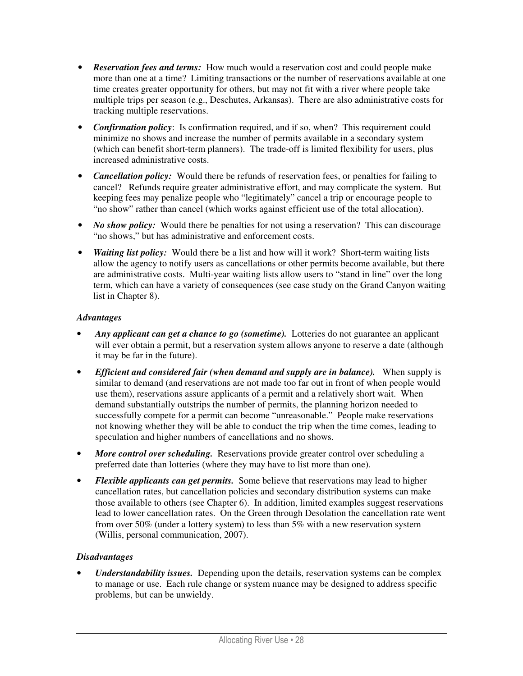- *Reservation fees and terms:* How much would a reservation cost and could people make more than one at a time? Limiting transactions or the number of reservations available at one time creates greater opportunity for others, but may not fit with a river where people take multiple trips per season (e.g., Deschutes, Arkansas). There are also administrative costs for tracking multiple reservations.
- *Confirmation policy*: Is confirmation required, and if so, when? This requirement could minimize no shows and increase the number of permits available in a secondary system (which can benefit short-term planners). The trade-off is limited flexibility for users, plus increased administrative costs.
- *Cancellation policy:* Would there be refunds of reservation fees, or penalties for failing to cancel? Refunds require greater administrative effort, and may complicate the system. But keeping fees may penalize people who "legitimately" cancel a trip or encourage people to "no show" rather than cancel (which works against efficient use of the total allocation).
- *No show policy:* Would there be penalties for not using a reservation? This can discourage "no shows," but has administrative and enforcement costs.
- *Waiting list policy:* Would there be a list and how will it work? Short-term waiting lists allow the agency to notify users as cancellations or other permits become available, but there are administrative costs. Multi-year waiting lists allow users to "stand in line" over the long term, which can have a variety of consequences (see case study on the Grand Canyon waiting list in Chapter 8).

### *Advantages*

- *Any applicant can get a chance to go (sometime).* Lotteries do not guarantee an applicant will ever obtain a permit, but a reservation system allows anyone to reserve a date (although it may be far in the future).
- *Efficient and considered fair (when demand and supply are in balance).* When supply is similar to demand (and reservations are not made too far out in front of when people would use them), reservations assure applicants of a permit and a relatively short wait. When demand substantially outstrips the number of permits, the planning horizon needed to successfully compete for a permit can become "unreasonable." People make reservations not knowing whether they will be able to conduct the trip when the time comes, leading to speculation and higher numbers of cancellations and no shows.
- *More control over scheduling.* Reservations provide greater control over scheduling a preferred date than lotteries (where they may have to list more than one).
- *Flexible applicants can get permits.* Some believe that reservations may lead to higher cancellation rates, but cancellation policies and secondary distribution systems can make those available to others (see Chapter 6). In addition, limited examples suggest reservations lead to lower cancellation rates. On the Green through Desolation the cancellation rate went from over 50% (under a lottery system) to less than 5% with a new reservation system (Willis, personal communication, 2007).

### *Disadvantages*

• *Understandability issues.* Depending upon the details, reservation systems can be complex to manage or use. Each rule change or system nuance may be designed to address specific problems, but can be unwieldy.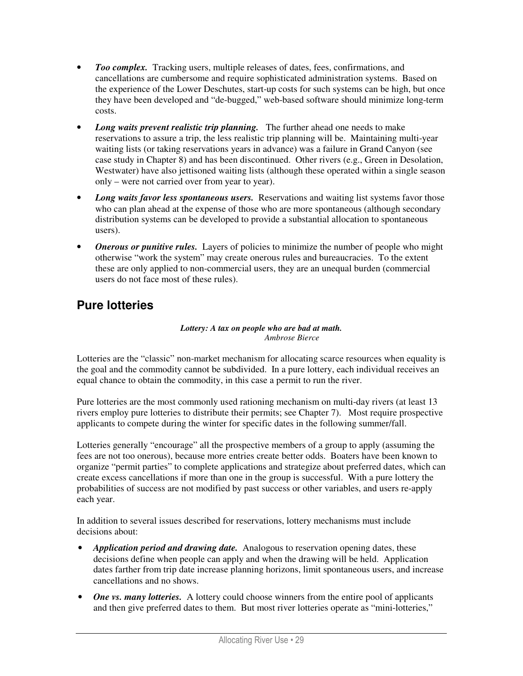- *Too complex.* Tracking users, multiple releases of dates, fees, confirmations, and cancellations are cumbersome and require sophisticated administration systems. Based on the experience of the Lower Deschutes, start-up costs for such systems can be high, but once they have been developed and "de-bugged," web-based software should minimize long-term costs.
- *Long waits prevent realistic trip planning.* The further ahead one needs to make reservations to assure a trip, the less realistic trip planning will be. Maintaining multi-year waiting lists (or taking reservations years in advance) was a failure in Grand Canyon (see case study in Chapter 8) and has been discontinued. Other rivers (e.g., Green in Desolation, Westwater) have also jettisoned waiting lists (although these operated within a single season only – were not carried over from year to year).
- *Long waits favor less spontaneous users.* Reservations and waiting list systems favor those who can plan ahead at the expense of those who are more spontaneous (although secondary distribution systems can be developed to provide a substantial allocation to spontaneous users).
- *Onerous or punitive rules.* Layers of policies to minimize the number of people who might otherwise "work the system" may create onerous rules and bureaucracies. To the extent these are only applied to non-commercial users, they are an unequal burden (commercial users do not face most of these rules).

# **Pure lotteries**

#### *Lottery: A tax on people who are bad at math. Ambrose Bierce*

Lotteries are the "classic" non-market mechanism for allocating scarce resources when equality is the goal and the commodity cannot be subdivided. In a pure lottery, each individual receives an equal chance to obtain the commodity, in this case a permit to run the river.

Pure lotteries are the most commonly used rationing mechanism on multi-day rivers (at least 13 rivers employ pure lotteries to distribute their permits; see Chapter 7). Most require prospective applicants to compete during the winter for specific dates in the following summer/fall.

Lotteries generally "encourage" all the prospective members of a group to apply (assuming the fees are not too onerous), because more entries create better odds. Boaters have been known to organize "permit parties" to complete applications and strategize about preferred dates, which can create excess cancellations if more than one in the group is successful. With a pure lottery the probabilities of success are not modified by past success or other variables, and users re-apply each year.

In addition to several issues described for reservations, lottery mechanisms must include decisions about:

- *Application period and drawing date.* Analogous to reservation opening dates, these decisions define when people can apply and when the drawing will be held. Application dates farther from trip date increase planning horizons, limit spontaneous users, and increase cancellations and no shows.
- *One vs. many lotteries.* A lottery could choose winners from the entire pool of applicants and then give preferred dates to them. But most river lotteries operate as "mini-lotteries,"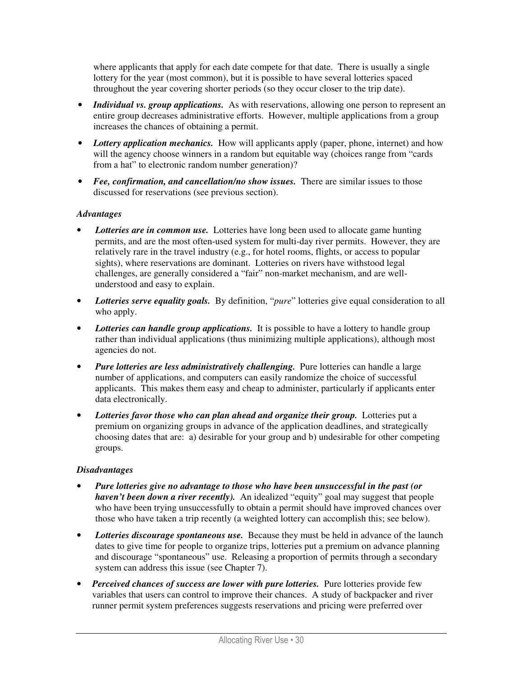where applicants that apply for each date compete for that date. There is usually a single lottery for the year (most common), but it is possible to have several lotteries spaced throughout the year covering shorter periods (so they occur closer to the trip date).

- *Individual vs. group applications.* As with reservations, allowing one person to represent an entire group decreases administrative efforts. However, multiple applications from a group increases the chances of obtaining a permit.
- *Lottery application mechanics.* How will applicants apply (paper, phone, internet) and how will the agency choose winners in a random but equitable way (choices range from "cards") from a hat" to electronic random number generation)?
- *Fee, confirmation, and cancellation/no show issues.* There are similar issues to those discussed for reservations (see previous section).

#### *Advantages*

- **Lotteries are in common use.** Lotteries have long been used to allocate game hunting permits, and are the most often-used system for multi-day river permits. However, they are relatively rare in the travel industry (e.g., for hotel rooms, flights, or access to popular sights), where reservations are dominant. Lotteries on rivers have withstood legal challenges, are generally considered a "fair" non-market mechanism, and are wellunderstood and easy to explain.
- *Lotteries serve equality goals.* By definition, "*pure*" lotteries give equal consideration to all who apply.
- *Lotteries can handle group applications.* It is possible to have a lottery to handle group rather than individual applications (thus minimizing multiple applications), although most agencies do not.
- *Pure lotteries are less administratively challenging.* Pure lotteries can handle a large number of applications, and computers can easily randomize the choice of successful applicants. This makes them easy and cheap to administer, particularly if applicants enter data electronically.
- Lotteries favor those who can plan ahead and organize their group. Lotteries put a premium on organizing groups in advance of the application deadlines, and strategically choosing dates that are: a) desirable for your group and b) undesirable for other competing groups.

- *Pure lotteries give no advantage to those who have been unsuccessful in the past (or haven't been down a river recently*). An idealized "equity" goal may suggest that people who have been trying unsuccessfully to obtain a permit should have improved chances over those who have taken a trip recently (a weighted lottery can accomplish this; see below).
- *Lotteries discourage spontaneous use.* Because they must be held in advance of the launch dates to give time for people to organize trips, lotteries put a premium on advance planning and discourage "spontaneous" use. Releasing a proportion of permits through a secondary system can address this issue (see Chapter 7).
- *Perceived chances of success are lower with pure lotteries.* Pure lotteries provide few variables that users can control to improve their chances. A study of backpacker and river runner permit system preferences suggests reservations and pricing were preferred over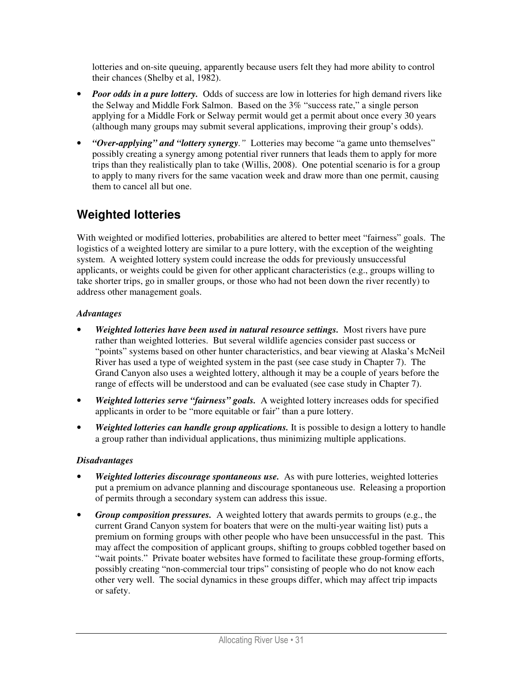lotteries and on-site queuing, apparently because users felt they had more ability to control their chances (Shelby et al, 1982).

- *Poor odds in a pure lottery*. Odds of success are low in lotteries for high demand rivers like the Selway and Middle Fork Salmon. Based on the 3% "success rate," a single person applying for a Middle Fork or Selway permit would get a permit about once every 30 years (although many groups may submit several applications, improving their group's odds).
- *"Over-applying" and "lottery synergy."* Lotteries may become "a game unto themselves" possibly creating a synergy among potential river runners that leads them to apply for more trips than they realistically plan to take (Willis, 2008). One potential scenario is for a group to apply to many rivers for the same vacation week and draw more than one permit, causing them to cancel all but one.

# **Weighted lotteries**

With weighted or modified lotteries, probabilities are altered to better meet "fairness" goals. The logistics of a weighted lottery are similar to a pure lottery, with the exception of the weighting system. A weighted lottery system could increase the odds for previously unsuccessful applicants, or weights could be given for other applicant characteristics (e.g., groups willing to take shorter trips, go in smaller groups, or those who had not been down the river recently) to address other management goals.

### *Advantages*

- *Weighted lotteries have been used in natural resource settings.* Most rivers have pure rather than weighted lotteries. But several wildlife agencies consider past success or "points" systems based on other hunter characteristics, and bear viewing at Alaska's McNeil River has used a type of weighted system in the past (see case study in Chapter 7). The Grand Canyon also uses a weighted lottery, although it may be a couple of years before the range of effects will be understood and can be evaluated (see case study in Chapter 7).
- *Weighted lotteries serve "fairness" goals.* A weighted lottery increases odds for specified applicants in order to be "more equitable or fair" than a pure lottery.
- *Weighted lotteries can handle group applications.* It is possible to design a lottery to handle a group rather than individual applications, thus minimizing multiple applications.

- *Weighted lotteries discourage spontaneous use.* As with pure lotteries, weighted lotteries put a premium on advance planning and discourage spontaneous use. Releasing a proportion of permits through a secondary system can address this issue.
- *Group composition pressures.* A weighted lottery that awards permits to groups (e.g., the current Grand Canyon system for boaters that were on the multi-year waiting list) puts a premium on forming groups with other people who have been unsuccessful in the past. This may affect the composition of applicant groups, shifting to groups cobbled together based on "wait points." Private boater websites have formed to facilitate these group-forming efforts, possibly creating "non-commercial tour trips" consisting of people who do not know each other very well. The social dynamics in these groups differ, which may affect trip impacts or safety.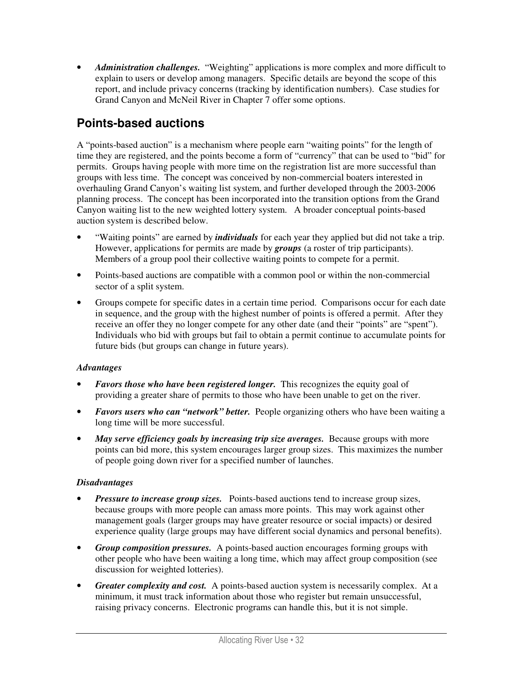• *Administration challenges.* "Weighting" applications is more complex and more difficult to explain to users or develop among managers. Specific details are beyond the scope of this report, and include privacy concerns (tracking by identification numbers). Case studies for Grand Canyon and McNeil River in Chapter 7 offer some options.

# **Points-based auctions**

A "points-based auction" is a mechanism where people earn "waiting points" for the length of time they are registered, and the points become a form of "currency" that can be used to "bid" for permits. Groups having people with more time on the registration list are more successful than groups with less time. The concept was conceived by non-commercial boaters interested in overhauling Grand Canyon's waiting list system, and further developed through the 2003-2006 planning process. The concept has been incorporated into the transition options from the Grand Canyon waiting list to the new weighted lottery system. A broader conceptual points-based auction system is described below.

- "Waiting points" are earned by *individuals* for each year they applied but did not take a trip. However, applications for permits are made by *groups* (a roster of trip participants). Members of a group pool their collective waiting points to compete for a permit.
- Points-based auctions are compatible with a common pool or within the non-commercial sector of a split system.
- Groups compete for specific dates in a certain time period. Comparisons occur for each date in sequence, and the group with the highest number of points is offered a permit. After they receive an offer they no longer compete for any other date (and their "points" are "spent"). Individuals who bid with groups but fail to obtain a permit continue to accumulate points for future bids (but groups can change in future years).

### *Advantages*

- *Favors those who have been registered longer.* This recognizes the equity goal of providing a greater share of permits to those who have been unable to get on the river.
- *Favors users who can "network" better.* People organizing others who have been waiting a long time will be more successful.
- *May serve efficiency goals by increasing trip size averages.* Because groups with more points can bid more, this system encourages larger group sizes. This maximizes the number of people going down river for a specified number of launches.

- *Pressure to increase group sizes.* Points-based auctions tend to increase group sizes, because groups with more people can amass more points. This may work against other management goals (larger groups may have greater resource or social impacts) or desired experience quality (large groups may have different social dynamics and personal benefits).
- *Group composition pressures.* A points-based auction encourages forming groups with other people who have been waiting a long time, which may affect group composition (see discussion for weighted lotteries).
- *Greater complexity and cost.* A points-based auction system is necessarily complex. At a minimum, it must track information about those who register but remain unsuccessful, raising privacy concerns. Electronic programs can handle this, but it is not simple.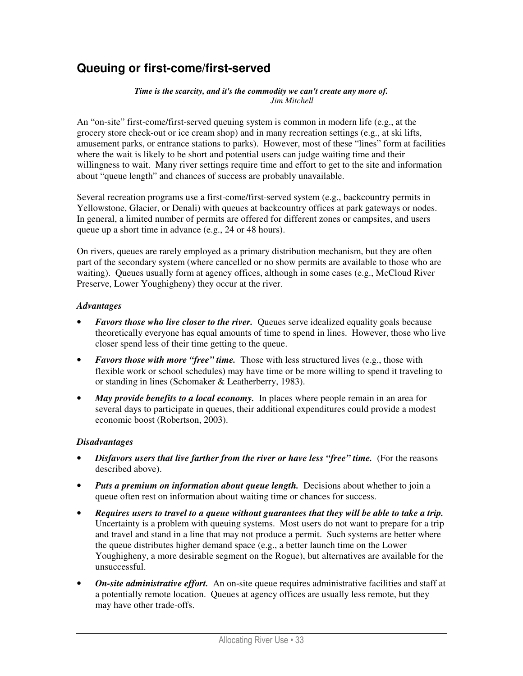## **Queuing or first-come/first-served**

#### *Time is the scarcity, and it's the commodity we can't create any more of. Jim Mitchell*

An "on-site" first-come/first-served queuing system is common in modern life (e.g., at the grocery store check-out or ice cream shop) and in many recreation settings (e.g., at ski lifts, amusement parks, or entrance stations to parks). However, most of these "lines" form at facilities where the wait is likely to be short and potential users can judge waiting time and their willingness to wait. Many river settings require time and effort to get to the site and information about "queue length" and chances of success are probably unavailable.

Several recreation programs use a first-come/first-served system (e.g., backcountry permits in Yellowstone, Glacier, or Denali) with queues at backcountry offices at park gateways or nodes. In general, a limited number of permits are offered for different zones or campsites, and users queue up a short time in advance (e.g., 24 or 48 hours).

On rivers, queues are rarely employed as a primary distribution mechanism, but they are often part of the secondary system (where cancelled or no show permits are available to those who are waiting). Queues usually form at agency offices, although in some cases (e.g., McCloud River Preserve, Lower Youghigheny) they occur at the river.

#### *Advantages*

- *Favors those who live closer to the river.* Queues serve idealized equality goals because theoretically everyone has equal amounts of time to spend in lines. However, those who live closer spend less of their time getting to the queue.
- *Favors those with more "free" time.* Those with less structured lives (e.g., those with flexible work or school schedules) may have time or be more willing to spend it traveling to or standing in lines (Schomaker & Leatherberry, 1983).
- *May provide benefits to a local economy*. In places where people remain in an area for several days to participate in queues, their additional expenditures could provide a modest economic boost (Robertson, 2003).

- *Disfavors users that live farther from the river or have less "free" time.* (For the reasons described above).
- *Puts a premium on information about queue length.* Decisions about whether to join a queue often rest on information about waiting time or chances for success.
- *Requires users to travel to a queue without guarantees that they will be able to take a trip.*  Uncertainty is a problem with queuing systems. Most users do not want to prepare for a trip and travel and stand in a line that may not produce a permit. Such systems are better where the queue distributes higher demand space (e.g., a better launch time on the Lower Youghigheny, a more desirable segment on the Rogue), but alternatives are available for the unsuccessful.
- *On-site administrative effort.* An on-site queue requires administrative facilities and staff at a potentially remote location. Queues at agency offices are usually less remote, but they may have other trade-offs.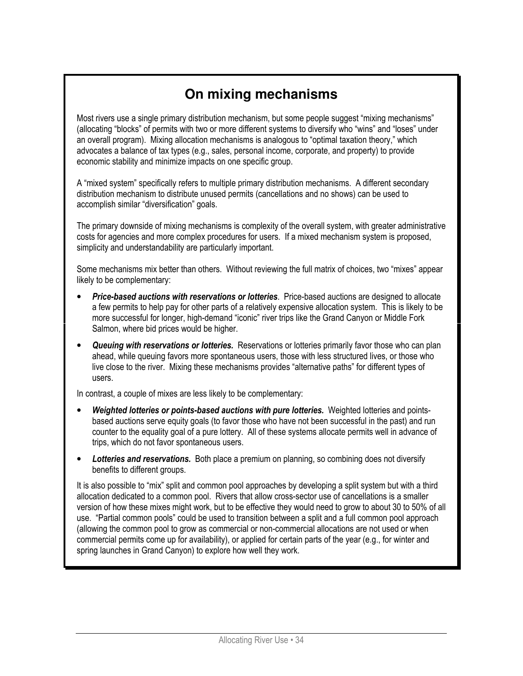# **On mixing mechanisms**

Most rivers use a single primary distribution mechanism, but some people suggest "mixing mechanisms" (allocating "blocks" of permits with two or more different systems to diversify who "wins" and "loses" under an overall program). Mixing allocation mechanisms is analogous to "optimal taxation theory," which advocates a balance of tax types (e.g., sales, personal income, corporate, and property) to provide economic stability and minimize impacts on one specific group.

A "mixed system" specifically refers to multiple primary distribution mechanisms. A different secondary distribution mechanism to distribute unused permits (cancellations and no shows) can be used to accomplish similar "diversification" goals.

The primary downside of mixing mechanisms is complexity of the overall system, with greater administrative costs for agencies and more complex procedures for users. If a mixed mechanism system is proposed, simplicity and understandability are particularly important.

Some mechanisms mix better than others. Without reviewing the full matrix of choices, two "mixes" appear likely to be complementary:

- **Price-based auctions with reservations or lotteries**. Price-based auctions are designed to allocate a few permits to help pay for other parts of a relatively expensive allocation system. This is likely to be more successful for longer, high-demand "iconic" river trips like the Grand Canyon or Middle Fork Salmon, where bid prices would be higher.
- **Queuing with reservations or lotteries.** Reservations or lotteries primarily favor those who can plan ahead, while queuing favors more spontaneous users, those with less structured lives, or those who live close to the river. Mixing these mechanisms provides "alternative paths" for different types of users.

In contrast, a couple of mixes are less likely to be complementary:

- Weighted lotteries or points-based auctions with pure lotteries. Weighted lotteries and pointsbased auctions serve equity goals (to favor those who have not been successful in the past) and run counter to the equality goal of a pure lottery. All of these systems allocate permits well in advance of trips, which do not favor spontaneous users.
- **Lotteries and reservations.** Both place a premium on planning, so combining does not diversify benefits to different groups.

It is also possible to "mix" split and common pool approaches by developing a split system but with a third allocation dedicated to a common pool. Rivers that allow cross-sector use of cancellations is a smaller version of how these mixes might work, but to be effective they would need to grow to about 30 to 50% of all use. "Partial common pools" could be used to transition between a split and a full common pool approach (allowing the common pool to grow as commercial or non-commercial allocations are not used or when commercial permits come up for availability), or applied for certain parts of the year (e.g., for winter and spring launches in Grand Canyon) to explore how well they work.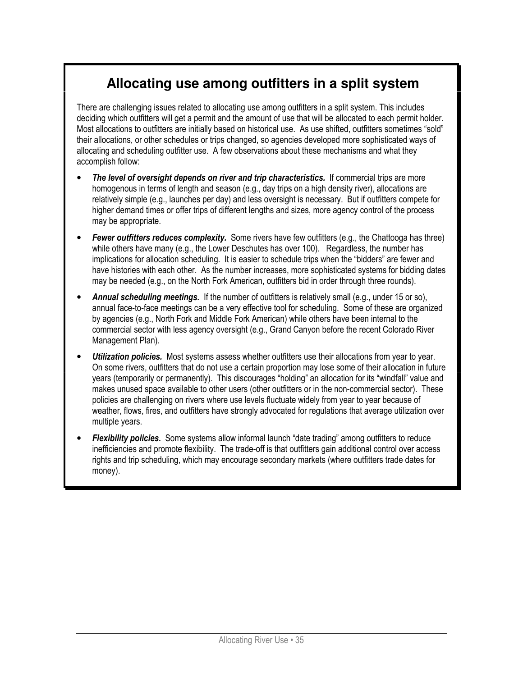# **Allocating use among outfitters in a split system**

There are challenging issues related to allocating use among outfitters in a split system. This includes deciding which outfitters will get a permit and the amount of use that will be allocated to each permit holder. Most allocations to outfitters are initially based on historical use. As use shifted, outfitters sometimes "sold" their allocations, or other schedules or trips changed, so agencies developed more sophisticated ways of allocating and scheduling outfitter use. A few observations about these mechanisms and what they accomplish follow:

- The level of oversight depends on river and trip characteristics. If commercial trips are more homogenous in terms of length and season (e.g., day trips on a high density river), allocations are relatively simple (e.g., launches per day) and less oversight is necessary. But if outfitters compete for higher demand times or offer trips of different lengths and sizes, more agency control of the process may be appropriate.
- **Fewer outfitters reduces complexity.** Some rivers have few outfitters (e.g., the Chattooga has three) while others have many (e.g., the Lower Deschutes has over 100). Regardless, the number has implications for allocation scheduling. It is easier to schedule trips when the "bidders" are fewer and have histories with each other. As the number increases, more sophisticated systems for bidding dates may be needed (e.g., on the North Fork American, outfitters bid in order through three rounds).
- Annual scheduling meetings. If the number of outfitters is relatively small (e.g., under 15 or so). annual face-to-face meetings can be a very effective tool for scheduling. Some of these are organized by agencies (e.g., North Fork and Middle Fork American) while others have been internal to the commercial sector with less agency oversight (e.g., Grand Canyon before the recent Colorado River Management Plan).
- Utilization policies. Most systems assess whether outfitters use their allocations from year to year. On some rivers, outfitters that do not use a certain proportion may lose some of their allocation in future years (temporarily or permanently). This discourages "holding" an allocation for its "windfall" value and makes unused space available to other users (other outfitters or in the non-commercial sector). These policies are challenging on rivers where use levels fluctuate widely from year to year because of weather, flows, fires, and outfitters have strongly advocated for regulations that average utilization over multiple years.
- **Flexibility policies.** Some systems allow informal launch "date trading" among outfitters to reduce inefficiencies and promote flexibility. The trade-off is that outfitters gain additional control over access rights and trip scheduling, which may encourage secondary markets (where outfitters trade dates for money).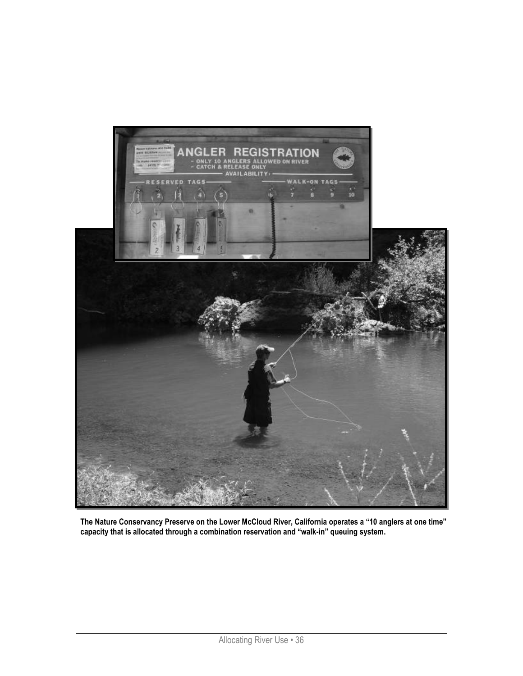

The Nature Conservancy Preserve on the Lower McCloud River, California operates a "10 anglers at one time" capacity that is allocated through a combination reservation and "walk-in" queuing system.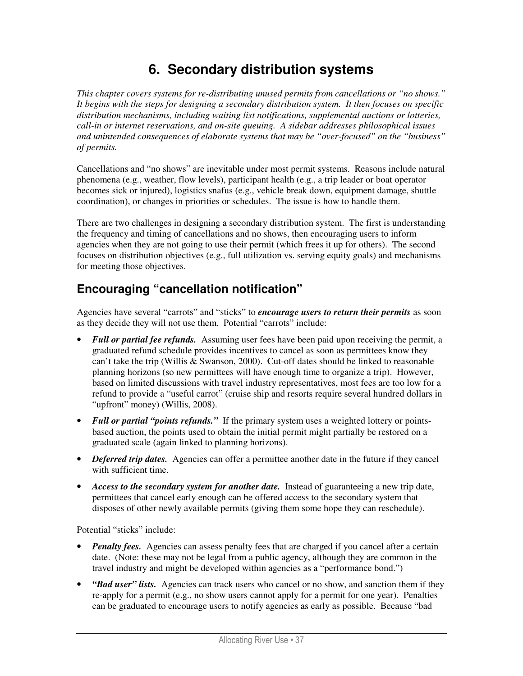# **6. Secondary distribution systems**

*This chapter covers systems for re-distributing unused permits from cancellations or "no shows." It begins with the steps for designing a secondary distribution system. It then focuses on specific distribution mechanisms, including waiting list notifications, supplemental auctions or lotteries, call-in or internet reservations, and on-site queuing. A sidebar addresses philosophical issues and unintended consequences of elaborate systems that may be "over-focused" on the "business" of permits.* 

Cancellations and "no shows" are inevitable under most permit systems. Reasons include natural phenomena (e.g., weather, flow levels), participant health (e.g., a trip leader or boat operator becomes sick or injured), logistics snafus (e.g., vehicle break down, equipment damage, shuttle coordination), or changes in priorities or schedules. The issue is how to handle them.

There are two challenges in designing a secondary distribution system. The first is understanding the frequency and timing of cancellations and no shows, then encouraging users to inform agencies when they are not going to use their permit (which frees it up for others). The second focuses on distribution objectives (e.g., full utilization vs. serving equity goals) and mechanisms for meeting those objectives.

# **Encouraging "cancellation notification"**

Agencies have several "carrots" and "sticks" to *encourage users to return their permits* as soon as they decide they will not use them. Potential "carrots" include:

- *Full or partial fee refunds.* Assuming user fees have been paid upon receiving the permit, a graduated refund schedule provides incentives to cancel as soon as permittees know they can't take the trip (Willis & Swanson, 2000). Cut-off dates should be linked to reasonable planning horizons (so new permittees will have enough time to organize a trip). However, based on limited discussions with travel industry representatives, most fees are too low for a refund to provide a "useful carrot" (cruise ship and resorts require several hundred dollars in "upfront" money) (Willis, 2008).
- *Full or partial "points refunds.*" If the primary system uses a weighted lottery or pointsbased auction, the points used to obtain the initial permit might partially be restored on a graduated scale (again linked to planning horizons).
- *Deferred trip dates.* Agencies can offer a permittee another date in the future if they cancel with sufficient time.
- *Access to the secondary system for another date.* Instead of guaranteeing a new trip date, permittees that cancel early enough can be offered access to the secondary system that disposes of other newly available permits (giving them some hope they can reschedule).

Potential "sticks" include:

- *Penalty fees.* Agencies can assess penalty fees that are charged if you cancel after a certain date. (Note: these may not be legal from a public agency, although they are common in the travel industry and might be developed within agencies as a "performance bond.")
- *"Bad user" lists.* Agencies can track users who cancel or no show, and sanction them if they re-apply for a permit (e.g., no show users cannot apply for a permit for one year). Penalties can be graduated to encourage users to notify agencies as early as possible. Because "bad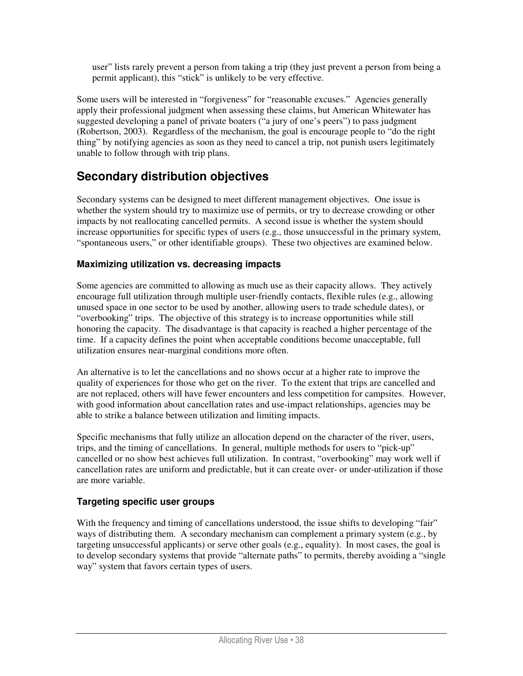user" lists rarely prevent a person from taking a trip (they just prevent a person from being a permit applicant), this "stick" is unlikely to be very effective.

Some users will be interested in "forgiveness" for "reasonable excuses." Agencies generally apply their professional judgment when assessing these claims, but American Whitewater has suggested developing a panel of private boaters ("a jury of one's peers") to pass judgment (Robertson, 2003). Regardless of the mechanism, the goal is encourage people to "do the right thing" by notifying agencies as soon as they need to cancel a trip, not punish users legitimately unable to follow through with trip plans.

# **Secondary distribution objectives**

Secondary systems can be designed to meet different management objectives. One issue is whether the system should try to maximize use of permits, or try to decrease crowding or other impacts by not reallocating cancelled permits. A second issue is whether the system should increase opportunities for specific types of users (e.g., those unsuccessful in the primary system, "spontaneous users," or other identifiable groups). These two objectives are examined below.

## **Maximizing utilization vs. decreasing impacts**

Some agencies are committed to allowing as much use as their capacity allows. They actively encourage full utilization through multiple user-friendly contacts, flexible rules (e.g., allowing unused space in one sector to be used by another, allowing users to trade schedule dates), or "overbooking" trips. The objective of this strategy is to increase opportunities while still honoring the capacity. The disadvantage is that capacity is reached a higher percentage of the time. If a capacity defines the point when acceptable conditions become unacceptable, full utilization ensures near-marginal conditions more often.

An alternative is to let the cancellations and no shows occur at a higher rate to improve the quality of experiences for those who get on the river. To the extent that trips are cancelled and are not replaced, others will have fewer encounters and less competition for campsites. However, with good information about cancellation rates and use-impact relationships, agencies may be able to strike a balance between utilization and limiting impacts.

Specific mechanisms that fully utilize an allocation depend on the character of the river, users, trips, and the timing of cancellations. In general, multiple methods for users to "pick-up" cancelled or no show best achieves full utilization. In contrast, "overbooking" may work well if cancellation rates are uniform and predictable, but it can create over- or under-utilization if those are more variable.

## **Targeting specific user groups**

With the frequency and timing of cancellations understood, the issue shifts to developing "fair" ways of distributing them. A secondary mechanism can complement a primary system (e.g., by targeting unsuccessful applicants) or serve other goals (e.g., equality). In most cases, the goal is to develop secondary systems that provide "alternate paths" to permits, thereby avoiding a "single way" system that favors certain types of users.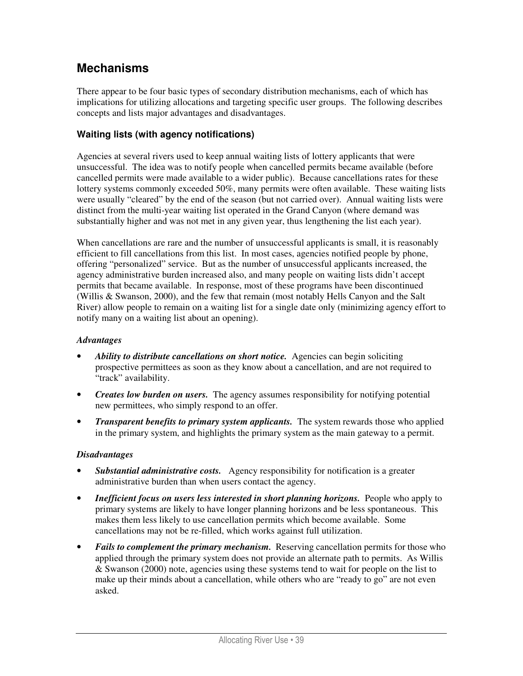## **Mechanisms**

There appear to be four basic types of secondary distribution mechanisms, each of which has implications for utilizing allocations and targeting specific user groups. The following describes concepts and lists major advantages and disadvantages.

### **Waiting lists (with agency notifications)**

Agencies at several rivers used to keep annual waiting lists of lottery applicants that were unsuccessful. The idea was to notify people when cancelled permits became available (before cancelled permits were made available to a wider public). Because cancellations rates for these lottery systems commonly exceeded 50%, many permits were often available. These waiting lists were usually "cleared" by the end of the season (but not carried over). Annual waiting lists were distinct from the multi-year waiting list operated in the Grand Canyon (where demand was substantially higher and was not met in any given year, thus lengthening the list each year).

When cancellations are rare and the number of unsuccessful applicants is small, it is reasonably efficient to fill cancellations from this list. In most cases, agencies notified people by phone, offering "personalized" service. But as the number of unsuccessful applicants increased, the agency administrative burden increased also, and many people on waiting lists didn't accept permits that became available. In response, most of these programs have been discontinued (Willis & Swanson, 2000), and the few that remain (most notably Hells Canyon and the Salt River) allow people to remain on a waiting list for a single date only (minimizing agency effort to notify many on a waiting list about an opening).

#### *Advantages*

- *Ability to distribute cancellations on short notice.* Agencies can begin soliciting prospective permittees as soon as they know about a cancellation, and are not required to "track" availability.
- *Creates low burden on users.* The agency assumes responsibility for notifying potential new permittees, who simply respond to an offer.
- *Transparent benefits to primary system applicants.* The system rewards those who applied in the primary system, and highlights the primary system as the main gateway to a permit.

- *Substantial administrative costs.* Agency responsibility for notification is a greater administrative burden than when users contact the agency.
- *Inefficient focus on users less interested in short planning horizons.* People who apply to primary systems are likely to have longer planning horizons and be less spontaneous. This makes them less likely to use cancellation permits which become available. Some cancellations may not be re-filled, which works against full utilization.
- *Fails to complement the primary mechanism.* Reserving cancellation permits for those who applied through the primary system does not provide an alternate path to permits. As Willis  $&$  Swanson (2000) note, agencies using these systems tend to wait for people on the list to make up their minds about a cancellation, while others who are "ready to go" are not even asked.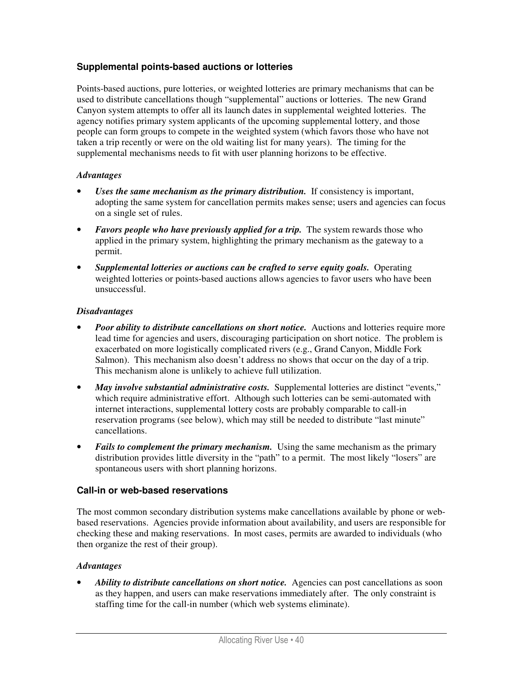### **Supplemental points-based auctions or lotteries**

Points-based auctions, pure lotteries, or weighted lotteries are primary mechanisms that can be used to distribute cancellations though "supplemental" auctions or lotteries. The new Grand Canyon system attempts to offer all its launch dates in supplemental weighted lotteries. The agency notifies primary system applicants of the upcoming supplemental lottery, and those people can form groups to compete in the weighted system (which favors those who have not taken a trip recently or were on the old waiting list for many years). The timing for the supplemental mechanisms needs to fit with user planning horizons to be effective.

#### *Advantages*

- Uses the same mechanism as the primary distribution. If consistency is important, adopting the same system for cancellation permits makes sense; users and agencies can focus on a single set of rules.
- *Favors people who have previously applied for a trip.* The system rewards those who applied in the primary system, highlighting the primary mechanism as the gateway to a permit.
- *Supplemental lotteries or auctions can be crafted to serve equity goals.* Operating weighted lotteries or points-based auctions allows agencies to favor users who have been unsuccessful.

#### *Disadvantages*

- **Poor ability to distribute cancellations on short notice.** Auctions and lotteries require more lead time for agencies and users, discouraging participation on short notice. The problem is exacerbated on more logistically complicated rivers (e.g., Grand Canyon, Middle Fork Salmon). This mechanism also doesn't address no shows that occur on the day of a trip. This mechanism alone is unlikely to achieve full utilization.
- *May involve substantial administrative costs.* Supplemental lotteries are distinct "events," which require administrative effort. Although such lotteries can be semi-automated with internet interactions, supplemental lottery costs are probably comparable to call-in reservation programs (see below), which may still be needed to distribute "last minute" cancellations.
- *Fails to complement the primary mechanism.* Using the same mechanism as the primary distribution provides little diversity in the "path" to a permit. The most likely "losers" are spontaneous users with short planning horizons.

#### **Call-in or web-based reservations**

The most common secondary distribution systems make cancellations available by phone or webbased reservations. Agencies provide information about availability, and users are responsible for checking these and making reservations. In most cases, permits are awarded to individuals (who then organize the rest of their group).

#### *Advantages*

• *Ability to distribute cancellations on short notice.* Agencies can post cancellations as soon as they happen, and users can make reservations immediately after. The only constraint is staffing time for the call-in number (which web systems eliminate).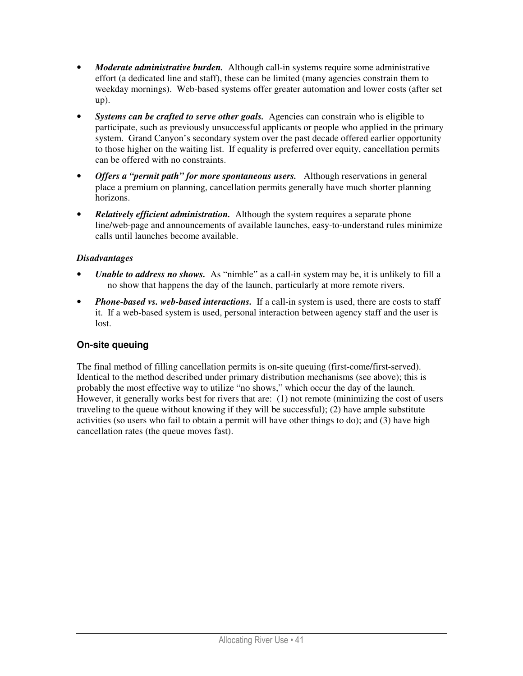- *Moderate administrative burden.* Although call-in systems require some administrative effort (a dedicated line and staff), these can be limited (many agencies constrain them to weekday mornings). Web-based systems offer greater automation and lower costs (after set up).
- *Systems can be crafted to serve other goals.* Agencies can constrain who is eligible to participate, such as previously unsuccessful applicants or people who applied in the primary system. Grand Canyon's secondary system over the past decade offered earlier opportunity to those higher on the waiting list. If equality is preferred over equity, cancellation permits can be offered with no constraints.
- *Offers a "permit path" for more spontaneous users.* Although reservations in general place a premium on planning, cancellation permits generally have much shorter planning horizons.
- *Relatively efficient administration.* Although the system requires a separate phone line/web-page and announcements of available launches, easy-to-understand rules minimize calls until launches become available.

### *Disadvantages*

- *Unable to address no shows.* As "nimble" as a call-in system may be, it is unlikely to fill a no show that happens the day of the launch, particularly at more remote rivers.
- *Phone-based vs. web-based interactions.* If a call-in system is used, there are costs to staff it. If a web-based system is used, personal interaction between agency staff and the user is lost.

### **On-site queuing**

The final method of filling cancellation permits is on-site queuing (first-come/first-served). Identical to the method described under primary distribution mechanisms (see above); this is probably the most effective way to utilize "no shows," which occur the day of the launch. However, it generally works best for rivers that are: (1) not remote (minimizing the cost of users traveling to the queue without knowing if they will be successful); (2) have ample substitute activities (so users who fail to obtain a permit will have other things to do); and (3) have high cancellation rates (the queue moves fast).